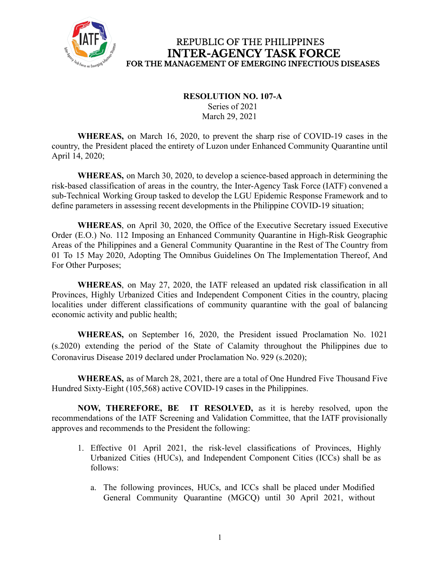

REPUBLIC OF THE PHILIPPINES **INTER-AGENCY TASK FORCE** FOR THE MANAGEMENT OF EMERGING INFECTIOUS DISEASES

## **RESOLUTION NO. 107-A**

Series of 2021 March 29, 2021

**WHEREAS,** on March 16, 2020, to prevent the sharp rise of COVID-19 cases in the country, the President placed the entirety of Luzon under Enhanced Community Quarantine until April 14, 2020;

**WHEREAS,** on March 30, 2020, to develop a science-based approach in determining the risk-based classification of areas in the country, the Inter-Agency Task Force (IATF) convened a sub-Technical Working Group tasked to develop the LGU Epidemic Response Framework and to define parameters in assessing recent developments in the Philippine COVID-19 situation;

**WHEREAS**, on April 30, 2020, the Office of the Executive Secretary issued Executive Order (E.O.) No. 112 Imposing an Enhanced Community Quarantine in High-Risk Geographic Areas of the Philippines and a General Community Quarantine in the Rest of The Country from 01 To 15 May 2020, Adopting The Omnibus Guidelines On The Implementation Thereof, And For Other Purposes;

**WHEREAS**, on May 27, 2020, the IATF released an updated risk classification in all Provinces, Highly Urbanized Cities and Independent Component Cities in the country, placing localities under different classifications of community quarantine with the goal of balancing economic activity and public health;

**WHEREAS,** on September 16, 2020, the President issued Proclamation No. 1021 (s.2020) extending the period of the State of Calamity throughout the Philippines due to Coronavirus Disease 2019 declared under Proclamation No. 929 (s.2020);

**WHEREAS,** as of March 28, 2021, there are a total of One Hundred Five Thousand Five Hundred Sixty-Eight (105,568) active COVID-19 cases in the Philippines.

**NOW, THEREFORE, BE IT RESOLVED,** as it is hereby resolved, upon the recommendations of the IATF Screening and Validation Committee, that the IATF provisionally approves and recommends to the President the following:

- 1. Effective 01 April 2021, the risk-level classifications of Provinces, Highly Urbanized Cities (HUCs), and Independent Component Cities (ICCs) shall be as follows:
	- a. The following provinces, HUCs, and ICCs shall be placed under Modified General Community Quarantine (MGCQ) until 30 April 2021, without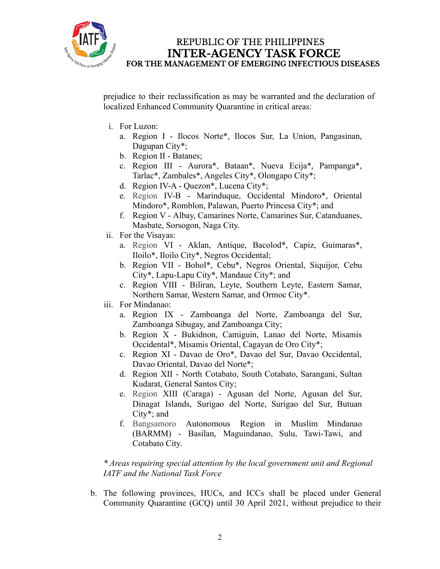

## REPUBLIC OF THE PHILIPPINES **INTER-AGENCY TASK FORCE** FOR THE MANAGEMENT OF EMERGING INFECTIOUS DISEASES

prejudice to their reclassification as may be warranted and the declaration of localized Enhanced Community Quarantine in critical areas:

- i. For Luzon:
	- a. Region I Ilocos Norte\*, Ilocos Sur, La Union, Pangasinan, Dagupan City\*;
	- b. Region II Batanes;
	- c. Region III Aurora\*, Bataan\*, Nueva Ecija\*, Pampanga\*, Tarlac\*, Zambales\*, Angeles City\*, Olongapo City\*;
	- d. Region IV-A Quezon\*, Lucena City\*;
	- e. Region IV-B Marinduque, Occidental Mindoro\*, Oriental Mindoro\*, Romblon, Palawan, Puerto Princesa City\*; and
	- f. Region V Albay, Camarines Norte, Camarines Sur, Catanduanes, Masbate, Sorsogon, Naga City.
- ii. For the Visayas:
	- a. Region VI Aklan, Antique, Bacolod\*, Capiz, Guimaras\*, Iloilo\*, Iloilo City\*, Negros Occidental;
	- b. Region VII Bohol\*, Cebu\*, Negros Oriental, Siquijor, Cebu City\*, Lapu-Lapu City\*, Mandaue City\*; and
	- c. Region VIII Biliran, Leyte, Southern Leyte, Eastern Samar, Northern Samar, Western Samar, and Ormoc City\*.
- iii. For Mindanao:
	- a. Region IX Zamboanga del Norte, Zamboanga del Sur, Zamboanga Sibugay, and Zamboanga City;
	- b. Region X Bukidnon, Camiguin, Lanao del Norte, Misamis Occidental\*, Misamis Oriental, Cagayan de Oro City\*;
	- c. Region XI Davao de Oro\*, Davao del Sur, Davao Occidental, Davao Oriental, Davao del Norte\*;
	- d. Region XII North Cotabato, South Cotabato, Sarangani, Sultan Kudarat, General Santos City;
	- e. Region XIII (Caraga) Agusan del Norte, Agusan del Sur, Dinagat Islands, Surigao del Norte, Surigao del Sur, Butuan City\*; and
	- f. Bangsamoro Autonomous Region in Muslim Mindanao (BARMM) - Basilan, Maguindanao, Sulu, Tawi-Tawi, and Cotabato City.

*\* Areas requiring special attention by the local government unit and Regional IATF and the National Task Force*

b. The following provinces, HUCs, and ICCs shall be placed under General Community Quarantine (GCQ) until 30 April 2021, without prejudice to their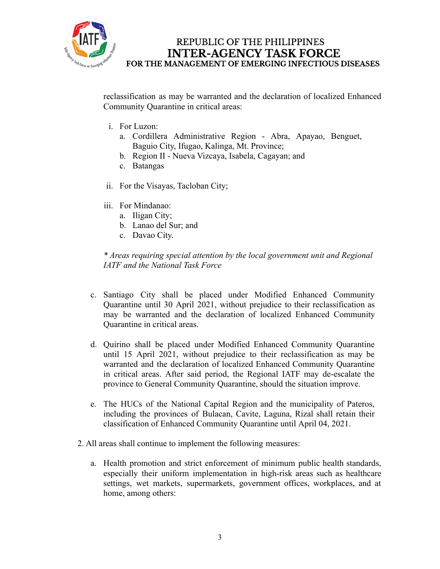

## REPUBLIC OF THE PHILIPPINES **INTER-AGENCY TASK FORCE** FOR THE MANAGEMENT OF EMERGING INFECTIOUS DISEASES

reclassification as may be warranted and the declaration of localized Enhanced Community Quarantine in critical areas:

- i. For Luzon:
	- a. Cordillera Administrative Region Abra, Apayao, Benguet, Baguio City, Ifugao, Kalinga, Mt. Province;
	- b. Region II Nueva Vizcaya, Isabela, Cagayan; and
	- c. Batangas
- ii. For the Visayas, Tacloban City;
- iii. For Mindanao:
	- a. Iligan City;
	- b. Lanao del Sur; and
	- c. Davao City.

*\* Areas requiring special attention by the local government unit and Regional IATF and the National Task Force*

- c. Santiago City shall be placed under Modified Enhanced Community Quarantine until 30 April 2021, without prejudice to their reclassification as may be warranted and the declaration of localized Enhanced Community Quarantine in critical areas.
- d. Quirino shall be placed under Modified Enhanced Community Quarantine until 15 April 2021, without prejudice to their reclassification as may be warranted and the declaration of localized Enhanced Community Quarantine in critical areas. After said period, the Regional IATF may de-escalate the province to General Community Quarantine, should the situation improve.
- e. The HUCs of the National Capital Region and the municipality of Pateros, including the provinces of Bulacan, Cavite, Laguna, Rizal shall retain their classification of Enhanced Community Quarantine until April 04, 2021.
- 2. All areas shall continue to implement the following measures:
	- a. Health promotion and strict enforcement of minimum public health standards, especially their uniform implementation in high-risk areas such as healthcare settings, wet markets, supermarkets, government offices, workplaces, and at home, among others: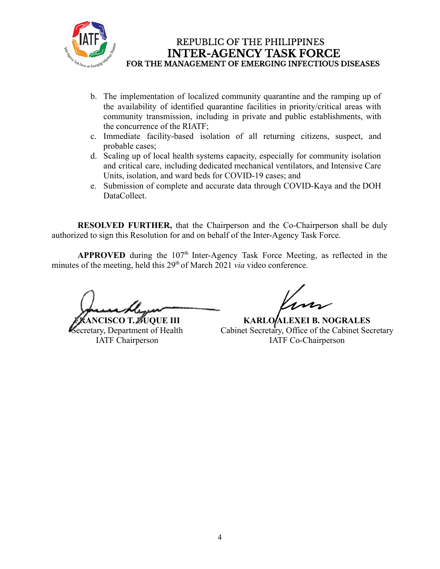

- b. The implementation of localized community quarantine and the ramping up of the availability of identified quarantine facilities in priority/critical areas with community transmission, including in private and public establishments, with the concurrence of the RIATF;
- c. Immediate facility-based isolation of all returning citizens, suspect, and probable cases;
- d. Scaling up of local health systems capacity, especially for community isolation and critical care, including dedicated mechanical ventilators, and Intensive Care Units, isolation, and ward beds for COVID-19 cases; and
- e. Submission of complete and accurate data through COVID-Kaya and the DOH DataCollect.

**RESOLVED FURTHER,** that the Chairperson and the Co-Chairperson shall be duly authorized to sign this Resolution for and on behalf of the Inter-Agency Task Force.

APPROVED during the 107<sup>th</sup> Inter-Agency Task Force Meeting, as reflected in the minutes of the meeting, held this 29<sup>th</sup> of March 2021 *via* video conference.

**FRANCISCO T. DUQUE III** 

Secretary, Department of Health IATF Chairperson

**KARLO ALEXEI B. NOGRALES** Cabinet Secretary, Office of the Cabinet Secretary IATF Co-Chairperson